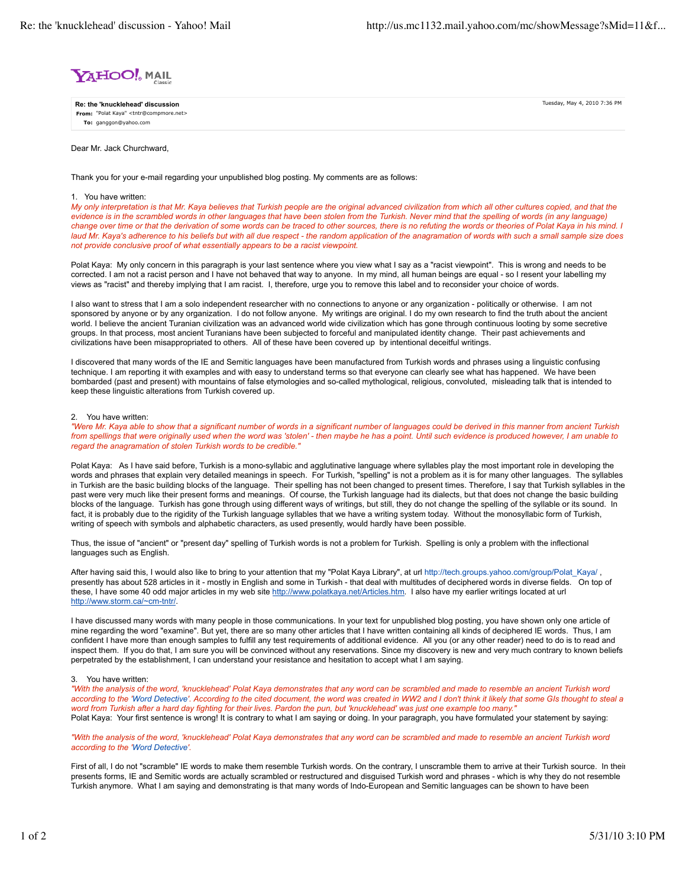

**From:** "Polat Kaya" <tntr@compmore.net> **To:** ganggon@yahoo.com **Re: the 'knucklehead' discussion** Tuesday, May 4, 2010 7:36 PM

Dear Mr. Jack Churchward,

Thank you for your e-mail regarding your unpublished blog posting. My comments are as follows:

## 1. You have written:

*My only interpretation is that Mr. Kaya believes that Turkish people are the original advanced civilization from which all other cultures copied, and that the evidence is in the scrambled words in other languages that have been stolen from the Turkish. Never mind that the spelling of words (in any language) change over time or that the derivation of some words can be traced to other sources, there is no refuting the words or theories of Polat Kaya in his mind. I laud Mr. Kaya's adherence to his beliefs but with all due respect - the random application of the anagramation of words with such a small sample size does not provide conclusive proof of what essentially appears to be a racist viewpoint.*

Polat Kaya: My only concern in this paragraph is your last sentence where you view what I say as a "racist viewpoint". This is wrong and needs to be corrected. I am not a racist person and I have not behaved that way to anyone. In my mind, all human beings are equal - so I resent your labelling my views as "racist" and thereby implying that I am racist. I, therefore, urge you to remove this label and to reconsider your choice of words.

I also want to stress that I am a solo independent researcher with no connections to anyone or any organization - politically or otherwise. I am not sponsored by anyone or by any organization. I do not follow anyone. My writings are original. I do my own research to find the truth about the ancient world. I believe the ancient Turanian civilization was an advanced world wide civilization which has gone through continuous looting by some secretive groups. In that process, most ancient Turanians have been subjected to forceful and manipulated identity change. Their past achievements and civilizations have been misappropriated to others. All of these have been covered up by intentional deceitful writings.

I discovered that many words of the IE and Semitic languages have been manufactured from Turkish words and phrases using a linguistic confusing technique. I am reporting it with examples and with easy to understand terms so that everyone can clearly see what has happened. We have been bombarded (past and present) with mountains of false etymologies and so-called mythological, religious, convoluted, misleading talk that is intended to keep these linguistic alterations from Turkish covered up.

## 2. You have written:

*"Were Mr. Kaya able to show that a significant number of words in a significant number of languages could be derived in this manner from ancient Turkish from spellings that were originally used when the word was 'stolen' - then maybe he has a point. Until such evidence is produced however, I am unable to regard the anagramation of stolen Turkish words to be credible."*

Polat Kaya: As I have said before, Turkish is a mono-syllabic and agglutinative language where syllables play the most important role in developing the words and phrases that explain very detailed meanings in speech. For Turkish, "spelling" is not a problem as it is for many other languages. The syllables in Turkish are the basic building blocks of the language. Their spelling has not been changed to present times. Therefore, I say that Turkish syllables in the past were very much like their present forms and meanings. Of course, the Turkish language had its dialects, but that does not change the basic building blocks of the language. Turkish has gone through using different ways of writings, but still, they do not change the spelling of the syllable or its sound. In fact, it is probably due to the rigidity of the Turkish language syllables that we have a writing system today. Without the monosyllabic form of Turkish, writing of speech with symbols and alphabetic characters, as used presently, would hardly have been possible.

Thus, the issue of "ancient" or "present day" spelling of Turkish words is not a problem for Turkish. Spelling is only a problem with the inflectional languages such as English.

After having said this, I would also like to bring to your attention that my "Polat Kaya Library", at url http://tech.groups.yahoo.com/group/Polat\_Kaya/, presently has about 528 articles in it - mostly in English and some in Turkish - that deal with multitudes of deciphered words in diverse fields. On top of these, I have some 40 odd major articles in my web site http://www.polatkaya.net/Articles.htm. I also have my earlier writings located at url http://www.storm.ca/~cm-tntr/.

I have discussed many words with many people in those communications. In your text for unpublished blog posting, you have shown only one article of mine regarding the word "examine". But yet, there are so many other articles that I have written containing all kinds of deciphered IE words. Thus, I am confident I have more than enough samples to fulfill any test requirements of additional evidence. All you (or any other reader) need to do is to read and inspect them. If you do that, I am sure you will be convinced without any reservations. Since my discovery is new and very much contrary to known beliefs perpetrated by the establishment, I can understand your resistance and hesitation to accept what I am saying.

## 3. You have written:

*"With the analysis of the word, 'knucklehead' Polat Kaya demonstrates that any word can be scrambled and made to resemble an ancient Turkish word according to the 'Word Detective'. According to the cited document, the word was created in WW2 and I don't think it likely that some GIs thought to steal a word from Turkish after a hard day fighting for their lives. Pardon the pun, but 'knucklehead' was just one example too many."* Polat Kaya: Your first sentence is wrong! It is contrary to what I am saying or doing. In your paragraph, you have formulated your statement by saying:

*"With the analysis of the word, 'knucklehead' Polat Kaya demonstrates that any word can be scrambled and made to resemble an ancient Turkish word according to the 'Word Detective'.*

First of all, I do not "scramble" IE words to make them resemble Turkish words. On the contrary, I unscramble them to arrive at their Turkish source. In their presents forms, IE and Semitic words are actually scrambled or restructured and disguised Turkish word and phrases - which is why they do not resemble Turkish anymore. What I am saying and demonstrating is that many words of Indo-European and Semitic languages can be shown to have been